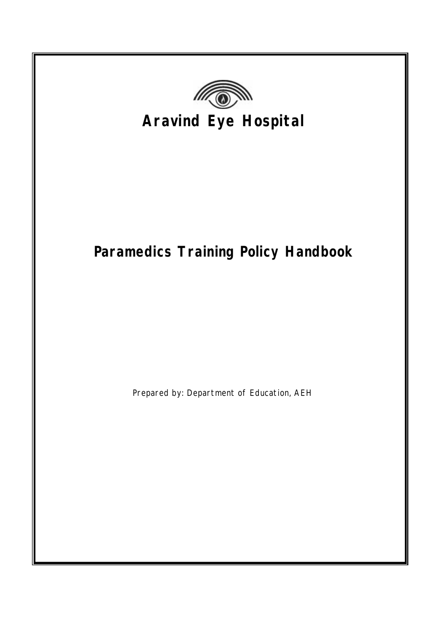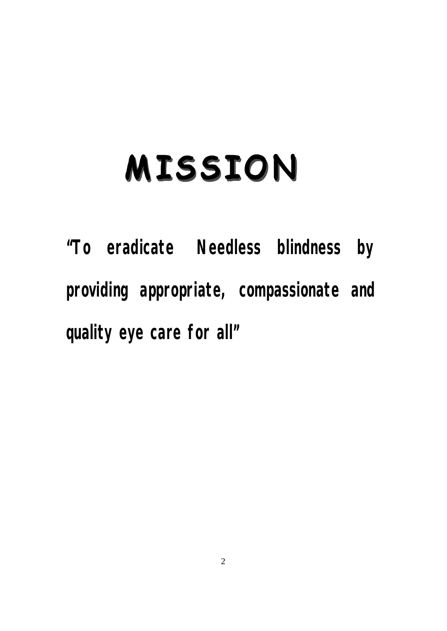# MISSION

**"To eradicate Needless blindness by providing appropriate, compassionate and quality eye care for all"**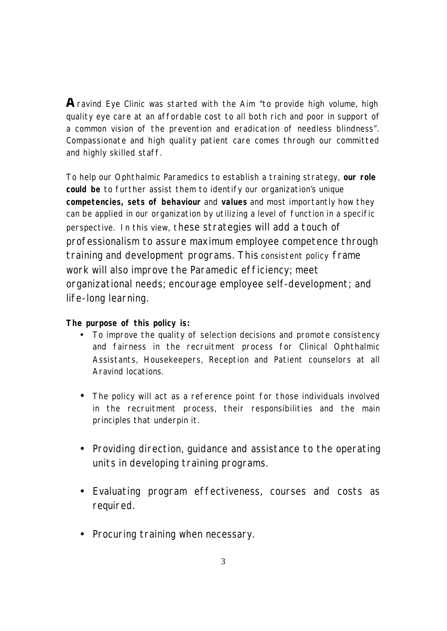$\bigwedge$ ravind Eye Clinic was started with the Aim "to provide high volume, high quality eye care at an affordable cost to all both rich and poor in support of a common vision of the prevention and eradication of needless blindness". Compassionate and high quality patient care comes through our committed and highly skilled staff.

To help our Ophthalmic Paramedics to establish a training strategy, **our role could be** to further assist them to identify our organization's unique **competencies, sets of behaviour** and **values** and most importantly how they can be applied in our organization by utilizing a level of function in a specific perspective. In this view, these strategies will add a touch of professionalism to assure maximum employee competence through training and development programs. This consistent policy frame work will also improve the Paramedic efficiency; meet organizational needs; encourage employee self-development; and life-long learning.

#### **The purpose of this policy is:**

- To improve the quality of selection decisions and promote consistency and fairness in the recruitment process for Clinical Ophthalmic Assistants, Housekeepers, Reception and Patient counselors at all Aravind locations.
- The policy will act as a reference point for those individuals involved in the recruitment process, their responsibilities and the main principles that underpin it.
- Providing direction, guidance and assistance to the operating units in developing training programs.
- Evaluating program effectiveness, courses and costs as required.
- Procuring training when necessary.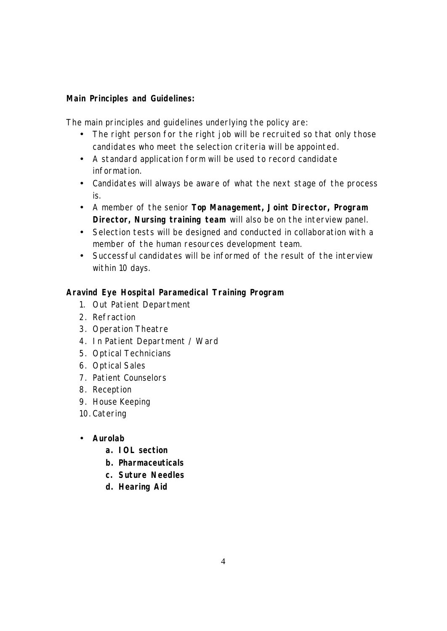#### **Main Principles and Guidelines:**

The main principles and guidelines underlying the policy are:

- The right person for the right job will be recruited so that only those candidates who meet the selection criteria will be appointed.
- A standard application form will be used to record candidate information.
- Candidates will always be aware of what the next stage of the process is.
- A member of the senior **Top Management, Joint Director, Program Director, Nursing training team** will also be on the interview panel.
- Selection tests will be designed and conducted in collaboration with a member of the human resources development team.
- Successful candidates will be informed of the result of the interview within 10 days.

#### **Aravind Eye Hospital Paramedical Training Program**

- 1. Out Patient Department
- 2. Refraction
- 3. Operation Theatre
- 4. In Patient Department / Ward
- 5. Optical Technicians
- 6. Optical Sales
- 7. Patient Counselors
- 8. Reception
- 9. House Keeping
- 10. Catering
- **Aurolab** 
	- **a. IOL section**
	- **b. Pharmaceuticals**
	- **c. Suture Needles**
	- **d. Hearing Aid**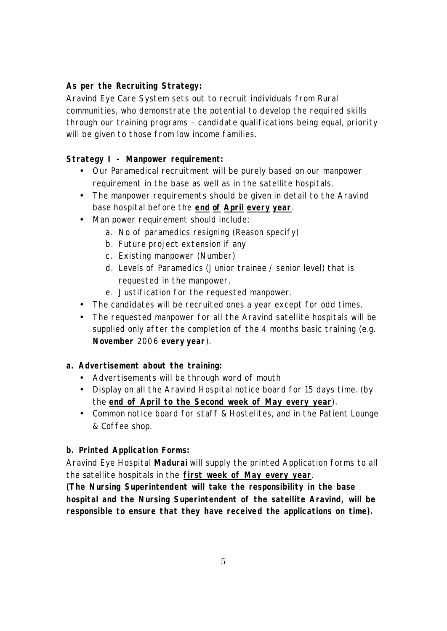#### **As per the Recruiting Strategy:**

Aravind Eye Care System sets out to recruit individuals from Rural communities, who demonstrate the potential to develop the required skills through our training programs – candidate qualifications being equal, priority will be given to those from low income families.

#### **Strategy I - Manpower requirement:**

- Our Paramedical recruitment will be purely based on our manpower requirement in the base as well as in the satellite hospitals.
- The manpower requirements should be given in detail to the Aravind base hospital before the **end of April every year**.
- Man power requirement should include:
	- a. No of paramedics resigning (Reason specify)
	- b. Future project extension if any
	- c. Existing manpower (Number)
	- d. Levels of Paramedics (Junior trainee / senior level) that is requested in the manpower.
	- e. Justification for the requested manpower.
- The candidates will be recruited ones a year except for odd times.
- The requested manpower for all the Aravind satellite hospitals will be supplied only after the completion of the 4 months basic training (e.g. **November** 2006 **every year**).

#### **a. Advertisement about the training:**

- Advertisements will be through word of mouth
- Display on all the Aravind Hospital notice board for 15 days time. (by the **end of April to the Second week of May every year**).
- Common notice board for staff & Hostelites, and in the Patient Lounge & Coffee shop.

#### **b. Printed Application Forms:**

Aravind Eye Hospital **Madurai** will supply the printed Application forms to all the satellite hospitals in the **first week of May every year**.

*(The Nursing Superintendent will take the responsibility in the base hospital and the Nursing Superintendent of the satellite Aravind, will be responsible to ensure that they have received the applications on time).*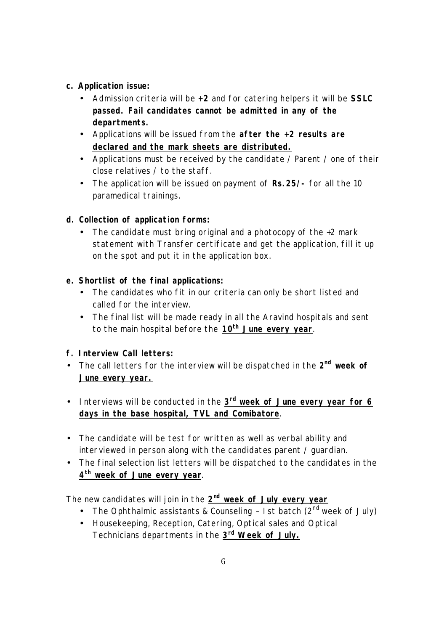#### **c. Application issue:**

- Admission criteria will be **+2** and for catering helpers it will be **SSLC passed. Fail candidates cannot be admitted in any of the departments.**
- Applications will be issued from the **after the +2 results are declared and the mark sheets are distributed.**
- Applications must be received by the candidate / Parent / one of their close relatives / to the staff.
- The application will be issued on payment of **Rs.25/-** for all the 10 paramedical trainings.

## **d. Collection of application forms:**

• The candidate must bring original and a photocopy of the +2 mark statement with Transfer certificate and get the application, fill it up on the spot and put it in the application box.

## **e. Shortlist of the final applications:**

- The candidates who fit in our criteria can only be short listed and called for the interview.
- The final list will be made ready in all the Aravind hospitals and sent to the main hospital before the **10th June every year**.

# **f. Interview Call letters:**

- The call letters for the interview will be dispatched in the  $2^{nd}$  week of **June every year.**
- **•** Interviews will be conducted in the  $3<sup>rd</sup>$  week of June every year for 6 **days in the base hospital, TVL and Comibatore**.
- The candidate will be test for written as well as verbal ability and interviewed in person along with the candidates parent / guardian.
- The final selection list letters will be dispatched to the candidates in the **4 th week of June every year**.

The new candidates will join in the **2 nd week of July every year**

- The Ophthalmic assistants & Counseling  $-$  1 st batch (2<sup>nd</sup> week of July)
- Housekeeping, Reception, Catering, Optical sales and Optical Technicians departments in the **3 rd Week of July.**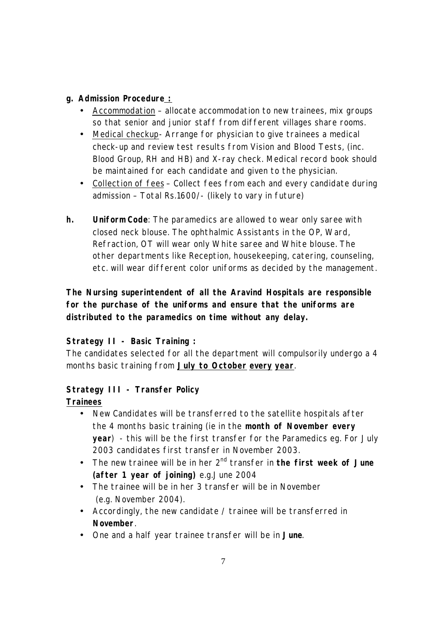#### **g. Admission Procedure :**

- *Accommodation* allocate accommodation to new trainees, mix groups so that senior and junior staff from different villages share rooms.
- *Medical checkup* Arrange for physician to give trainees a medical check-up and review test results from Vision and Blood Tests, (inc. Blood Group, RH and HB) and X-ray check. Medical record book should be maintained for each candidate and given to the physician.
- *Collection of fees* Collect fees from each and every candidate during admission – Total Rs.1600/- (likely to vary in future)
- **h. Uniform Code**: The paramedics are allowed to wear only saree with closed neck blouse. The ophthalmic Assistants in the OP, Ward, Refraction, OT will wear only White saree and White blouse. The other departments like Reception, housekeeping, catering, counseling, etc. will wear different color uniforms as decided by the management.

# *The Nursing superintendent of all the Aravind Hospitals are responsible for the purchase of the uniforms and ensure that the uniforms are distributed to the paramedics on time without any delay.*

#### **Strategy II - Basic Training :**

The candidates selected for all the department will compulsorily undergo a 4 months basic training from **July to October every year**.

#### **Strategy III - Transfer Policy**

#### **Trainees**

- New Candidates will be transferred to the satellite hospitals after the 4 months basic training (ie in the **month of November every year**) - this will be the first transfer for the Paramedics eg. For July 2003 candidates first transfer in November 2003.
- The new trainee will be in her 2<sup>nd</sup> transfer in **the first week of June (after 1 year of joining)** e.g.June 2004
- The trainee will be in her 3 transfer will be in November (e.g. November 2004).
- Accordingly, the new candidate / trainee will be transferred in **November**.
- One and a half year trainee transfer will be in **June**.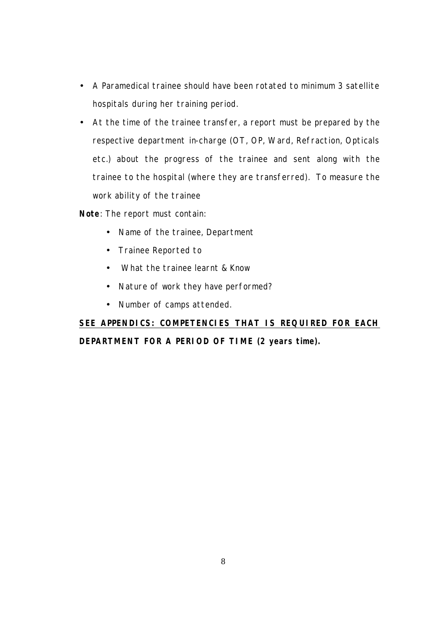- **·** A Paramedical trainee should have been rotated to minimum 3 satellite hospitals during her training period.
- **·** At the time of the trainee transfer, a report must be prepared by the respective department in-charge (OT, OP, Ward, Refraction, Opticals etc.) about the progress of the trainee and sent along with the trainee to the hospital (where they are transferred). To measure the work ability of the trainee

**Note**: The report must contain:

- Name of the trainee, Department
- Trainee Reported to
- What the trainee learnt & Know
- Nature of work they have performed?
- Number of camps attended.

**SEE APPENDICS: COMPETENCIES THAT IS REQUIRED FOR EACH DEPARTMENT FOR A PERIOD OF TIME (2 years time).**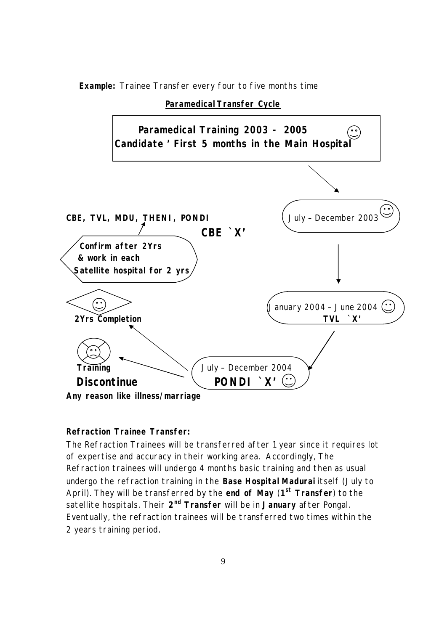**Example:** Trainee Transfer every four to five months time

#### **Paramedical Transfer Cycle**



#### **Refraction Trainee Transfer:**

The Refraction Trainees will be transferred after 1 year since it requires lot of expertise and accuracy in their working area. Accordingly, The Refraction trainees will undergo 4 months basic training and then as usual undergo the refraction training in the **Base Hospital Madurai** itself (July to April). They will be transferred by the **end of May** (**1 st Transfer**) to the satellite hospitals. Their **2 nd Transfer** will be in **January** after Pongal. Eventually, the refraction trainees will be transferred two times within the 2 years training period.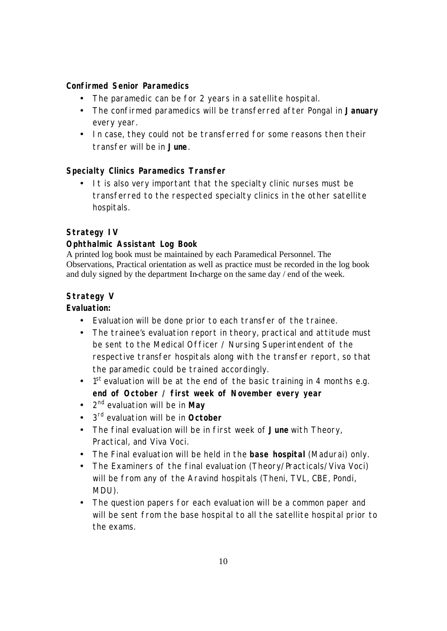#### **Confirmed Senior Paramedics**

- The paramedic can be for 2 years in a satellite hospital.
- The confirmed paramedics will be transferred after Pongal in **January** every year.
- In case, they could not be transferred for some reasons then their transfer will be in **June**.

#### **Specialty Clinics Paramedics Transfer**

It is also very important that the specialty clinic nurses must be transferred to the respected specialty clinics in the other satellite hospitals.

#### **Strategy IV**

#### **Ophthalmic Assistant Log Book**

A printed log book must be maintained by each Paramedical Personnel. The Observations, Practical orientation as well as practice must be recorded in the log book and duly signed by the department In-charge on the same day / end of the week.

#### **Strategy V**

#### **Evaluation:**

- Evaluation will be done prior to each transfer of the trainee.
- The trainee's evaluation report in theory, practical and attitude must be sent to the Medical Officer / Nursing Superintendent of the respective transfer hospitals along with the transfer report, so that the paramedic could be trained accordingly.
- $\bullet$  1<sup>st</sup> evaluation will be at the end of the basic training in 4 months e.g. **end of October / first week of November every year**
- 2 nd evaluation will be in **May**
- 3 rd evaluation will be in **October**
- The final evaluation will be in first week of **June** with Theory, Practical, and Viva Voci.
- The Final evaluation will be held in the **base hospital** (Madurai) only.
- The Examiners of the final evaluation (Theory/Practicals/Viva Voci) will be from any of the Aravind hospitals (Theni, TVL, CBE, Pondi, MDU).
- The question papers for each evaluation will be a common paper and will be sent from the base hospital to all the satellite hospital prior to the exams.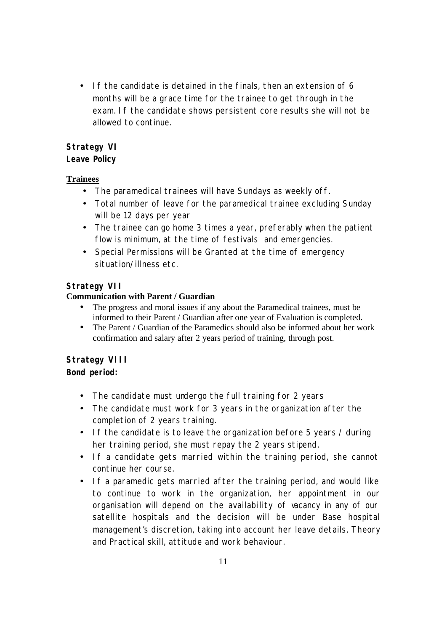• If the candidate is detained in the finals, then an extension of 6 months will be a grace time for the trainee to get through in the exam. If the candidate shows persistent core results she will not be allowed to continue.

# **Strategy VI**

## **Leave Policy**

## **Trainees**

- The paramedical trainees will have Sundays as weekly off.
- Total number of leave for the paramedical trainee excluding Sunday will be 12 days per year
- The trainee can go home 3 times a year, preferably when the patient flow is minimum, at the time of festivals and emergencies.
- Special Permissions will be Granted at the time of emergency situation/illness etc.

# **Strategy VII**

## **Communication with Parent / Guardian**

- The progress and moral issues if any about the Paramedical trainees, must be informed to their Parent / Guardian after one year of Evaluation is completed.
- The Parent / Guardian of the Paramedics should also be informed about her work confirmation and salary after 2 years period of training, through post.

# **Strategy VIII**

# **Bond period:**

- The candidate must undergo the full training for 2 years
- The candidate must work for 3 years in the organization after the completion of 2 years training.
- If the candidate is to leave the organization before 5 years / during her training period, she must repay the 2 years stipend.
- **·** If a candidate gets married within the training period, she cannot continue her course.
- **·** If a paramedic gets married after the training period, and would like to continue to work in the organization, her appointment in our organisation will depend on the availability of vacancy in any of our satellite hospitals and the decision will be under Base hospital management's discretion, taking into account her leave details, Theory and Practical skill, attitude and work behaviour.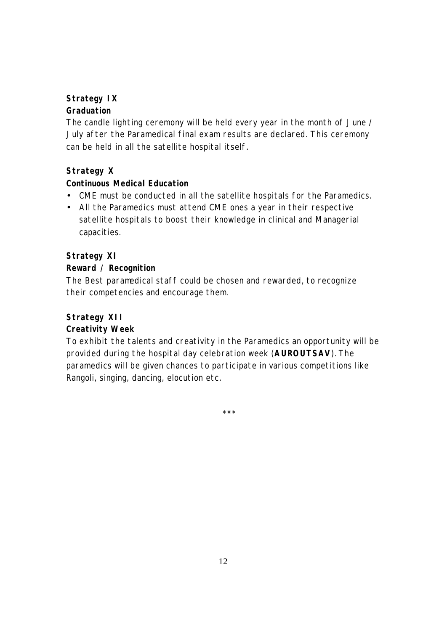# **Strategy IX**

## **Graduation**

The candle lighting ceremony will be held every year in the month of June / July after the Paramedical final exam results are declared. This ceremony can be held in all the satellite hospital itself.

# **Strategy X**

## **Continuous Medical Education**

- CME must be conducted in all the satellite hospitals for the Paramedics.
- All the Paramedics must attend CME ones a year in their respective satellite hospitals to boost their knowledge in clinical and Managerial capacities.

## **Strategy XI**

#### **Reward / Recognition**

The Best paramedical staff could be chosen and rewarded, to recognize their competencies and encourage them.

# **Strategy XII**

# **Creativity Week**

To exhibit the talents and creativity in the Paramedics an opportunity will be provided during the hospital day celebration week (**AUROUTSAV**). The paramedics will be given chances to participate in various competitions like Rangoli, singing, dancing, elocution etc.

\*\*\*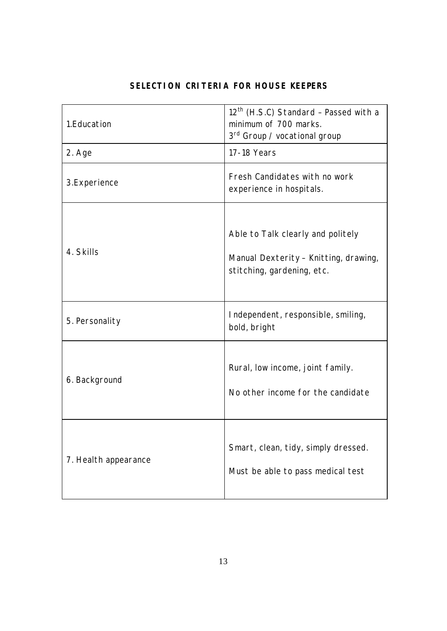| 1. Education         | 12 <sup>th</sup> (H.S.C) Standard - Passed with a<br>minimum of 700 marks.<br>3 <sup>rd</sup> Group / vocational group |
|----------------------|------------------------------------------------------------------------------------------------------------------------|
| 2. Age               | 17-18 Years                                                                                                            |
| 3.Experience         | Fresh Candidates with no work<br>experience in hospitals.                                                              |
| 4. Skills            | Able to Talk clearly and politely<br>Manual Dexterity - Knitting, drawing,<br>stitching, gardening, etc.               |
| 5. Personality       | Independent, responsible, smiling,<br>bold, bright                                                                     |
| 6. Background        | Rural, low income, joint family.<br>No other income for the candidate                                                  |
| 7. Health appearance | Smart, clean, tidy, simply dressed.<br>Must be able to pass medical test                                               |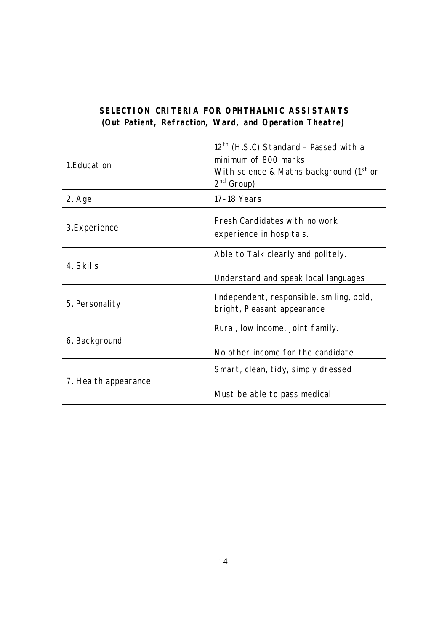## **SELECTION CRITERIA FOR OPHTHALMIC ASSISTANTS**  *(Out Patient, Refraction, Ward, and Operation Theatre)*

| 1. Education         | $12th$ (H.S.C) Standard - Passed with a<br>minimum of 800 marks.<br>With science & Maths background $(1st$ or<br>$2nd$ Group) |  |
|----------------------|-------------------------------------------------------------------------------------------------------------------------------|--|
| 2. Age               | 17-18 Years                                                                                                                   |  |
| 3.Experience         | Fresh Candidates with no work<br>experience in hospitals.                                                                     |  |
| 4. Skills            | Able to Talk clearly and politely.<br>Understand and speak local languages                                                    |  |
| 5. Personality       | Independent, responsible, smiling, bold,<br>bright, Pleasant appearance                                                       |  |
| 6. Background        | Rural, low income, joint family.<br>No other income for the candidate                                                         |  |
| 7. Health appearance | Smart, clean, tidy, simply dressed<br>Must be able to pass medical                                                            |  |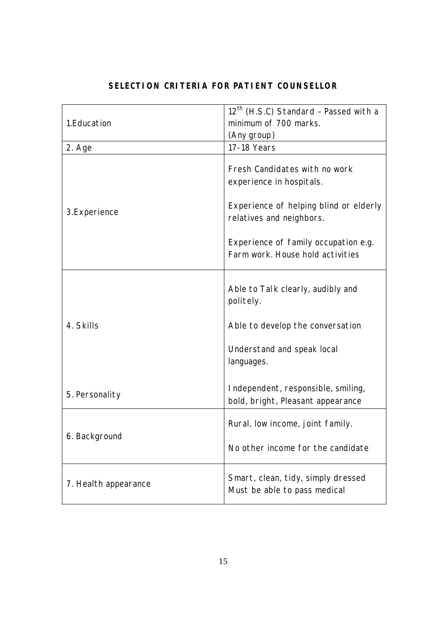| 1. Education         | 12 <sup>th</sup> (H.S.C) Standard - Passed with a<br>minimum of 700 marks.<br>(Any group) |  |
|----------------------|-------------------------------------------------------------------------------------------|--|
| 2. Age               | 17-18 Years                                                                               |  |
|                      | Fresh Candidates with no work<br>experience in hospitals.                                 |  |
| 3.Experience         | Experience of helping blind or elderly<br>relatives and neighbors.                        |  |
|                      | Experience of family occupation e.g.<br>Farm work. House hold activities                  |  |
|                      | Able to Talk clearly, audibly and<br>politely.                                            |  |
| 4. Skills            | Able to develop the conversation                                                          |  |
|                      | Understand and speak local<br>languages.                                                  |  |
| 5. Personality       | Independent, responsible, smiling,<br>bold, bright, Pleasant appearance                   |  |
| 6. Background        | Rural, low income, joint family.                                                          |  |
|                      | No other income for the candidate                                                         |  |
| 7. Health appearance | Smart, clean, tidy, simply dressed<br>Must be able to pass medical                        |  |

# **SELECTION CRITERIA FOR PATIENT COUNSELLOR**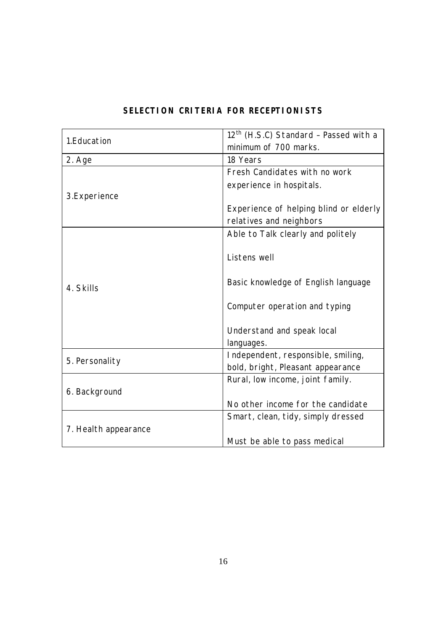| 1.Education          | 12 <sup>th</sup> (H.S.C) Standard - Passed with a |  |
|----------------------|---------------------------------------------------|--|
|                      | minimum of 700 marks.                             |  |
| 2. Age               | 18 Years                                          |  |
|                      | Fresh Candidates with no work                     |  |
|                      | experience in hospitals.                          |  |
| 3.Experience         |                                                   |  |
|                      | Experience of helping blind or elderly            |  |
|                      | relatives and neighbors                           |  |
|                      | Able to Talk clearly and politely                 |  |
|                      |                                                   |  |
|                      | Listens well                                      |  |
|                      |                                                   |  |
| 4. Skills            | Basic knowledge of English language               |  |
|                      |                                                   |  |
|                      | Computer operation and typing                     |  |
|                      | Understand and speak local                        |  |
|                      | languages.                                        |  |
|                      | Independent, responsible, smiling,                |  |
| 5. Personality       | bold, bright, Pleasant appearance                 |  |
|                      | Rural, low income, joint family.                  |  |
| 6. Background        |                                                   |  |
|                      | No other income for the candidate                 |  |
|                      | Smart, clean, tidy, simply dressed                |  |
| 7. Health appearance |                                                   |  |
|                      | Must be able to pass medical                      |  |

# **SELECTION CRITERIA FOR RECEPTIONISTS**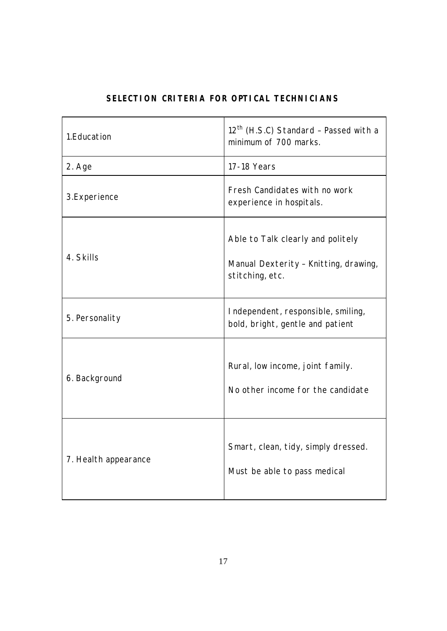| 1.Education          | 12 <sup>th</sup> (H.S.C) Standard - Passed with a<br>minimum of 700 marks.                    |  |
|----------------------|-----------------------------------------------------------------------------------------------|--|
| 2. Age               | 17-18 Years                                                                                   |  |
| 3.Experience         | Fresh Candidates with no work<br>experience in hospitals.                                     |  |
| 4. Skills            | Able to Talk clearly and politely<br>Manual Dexterity - Knitting, drawing,<br>stitching, etc. |  |
| 5. Personality       | Independent, responsible, smiling,<br>bold, bright, gentle and patient                        |  |
| 6. Background        | Rural, low income, joint family.<br>No other income for the candidate                         |  |
| 7. Health appearance | Smart, clean, tidy, simply dressed.<br>Must be able to pass medical                           |  |

## **SELECTION CRITERIA FOR OPTICAL TECHNICIANS**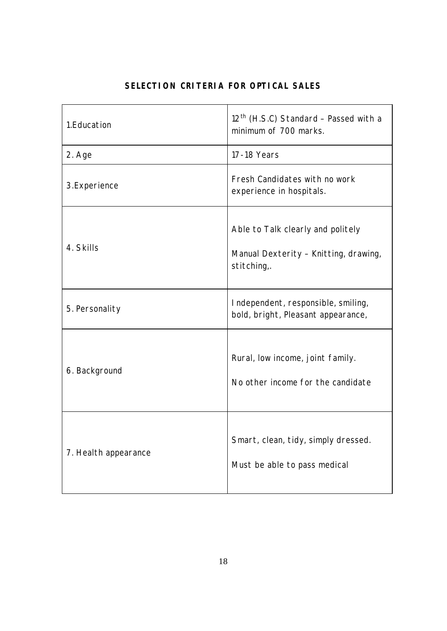| 1. Education         | 12 <sup>th</sup> (H.S.C) Standard - Passed with a<br>minimum of 700 marks.                |
|----------------------|-------------------------------------------------------------------------------------------|
| 2. Age               | 17-18 Years                                                                               |
| 3. Experience        | Fresh Candidates with no work<br>experience in hospitals.                                 |
| 4. Skills            | Able to Talk clearly and politely<br>Manual Dexterity - Knitting, drawing,<br>stitching,. |
| 5. Personality       | Independent, responsible, smiling,<br>bold, bright, Pleasant appearance,                  |
| 6. Background        | Rural, low income, joint family.<br>No other income for the candidate                     |
| 7. Health appearance | Smart, clean, tidy, simply dressed.<br>Must be able to pass medical                       |

# **SELECTION CRITERIA FOR OPTICAL SALES**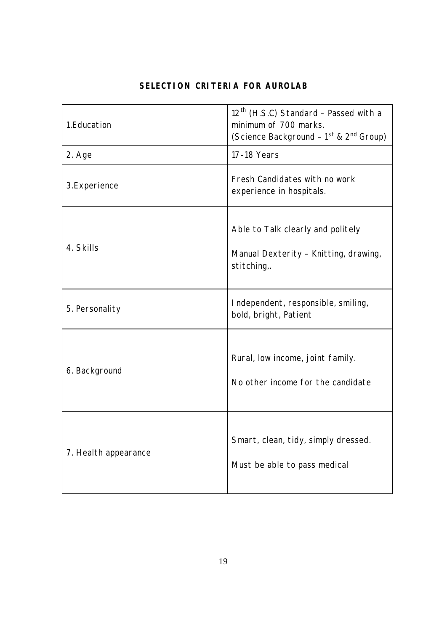| SELECTION CRITERIA FOR AUROLAB |  |  |  |
|--------------------------------|--|--|--|
|--------------------------------|--|--|--|

| 1.Education          | 12 <sup>th</sup> (H.S.C) Standard - Passed with a<br>minimum of 700 marks.<br>(Science Background - 1 <sup>st</sup> & 2 <sup>nd</sup> Group) |  |
|----------------------|----------------------------------------------------------------------------------------------------------------------------------------------|--|
| 2. Age               | 17-18 Years                                                                                                                                  |  |
| 3.Experience         | Fresh Candidates with no work<br>experience in hospitals.                                                                                    |  |
| 4. Skills            | Able to Talk clearly and politely<br>Manual Dexterity - Knitting, drawing,<br>stitching,.                                                    |  |
| 5. Personality       | Independent, responsible, smiling,<br>bold, bright, Patient                                                                                  |  |
| 6. Background        | Rural, low income, joint family.<br>No other income for the candidate                                                                        |  |
| 7. Health appearance | Smart, clean, tidy, simply dressed.<br>Must be able to pass medical                                                                          |  |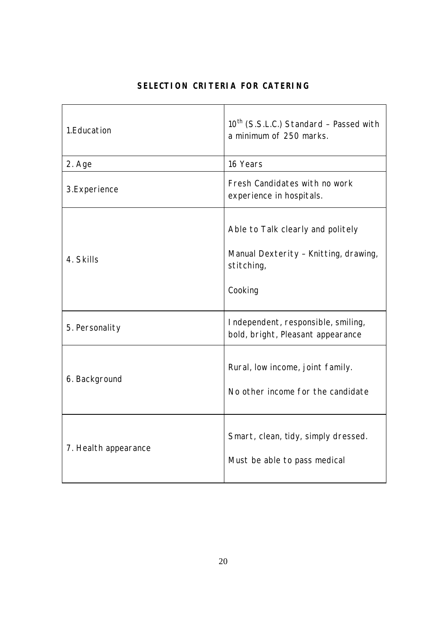| 1. Education         | 10 <sup>th</sup> (S.S.L.C.) Standard - Passed with<br>a minimum of 250 marks.                       |  |
|----------------------|-----------------------------------------------------------------------------------------------------|--|
| 2. Age               | 16 Years                                                                                            |  |
| 3.Experience         | Fresh Candidates with no work<br>experience in hospitals.                                           |  |
| 4. Skills            | Able to Talk clearly and politely<br>Manual Dexterity - Knitting, drawing,<br>stitching,<br>Cooking |  |
| 5. Personality       | Independent, responsible, smiling,<br>bold, bright, Pleasant appearance                             |  |
| 6. Background        | Rural, low income, joint family.<br>No other income for the candidate                               |  |
| 7. Health appearance | Smart, clean, tidy, simply dressed.<br>Must be able to pass medical                                 |  |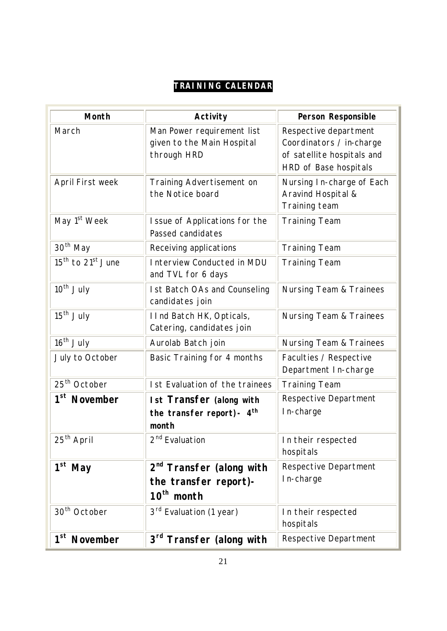# **TRAINING CALENDAR**

| <b>Month</b>                              | <b>Activity</b>                                                                         | <b>Person Responsible</b>                                                                                |
|-------------------------------------------|-----------------------------------------------------------------------------------------|----------------------------------------------------------------------------------------------------------|
| March                                     | Man Power requirement list<br>given to the Main Hospital<br>through HRD                 | Respective department<br>Coordinators / in-charge<br>of satellite hospitals and<br>HRD of Base hospitals |
| April First week                          | Training Advertisement on<br>the Notice board                                           | Nursing In-charge of Each<br>Aravind Hospital &<br>Training team                                         |
| May 1 <sup>st</sup> Week                  | I ssue of Applications for the<br>Passed candidates                                     | <b>Training Team</b>                                                                                     |
| 30 <sup>th</sup> May                      | Receiving applications                                                                  | <b>Training Team</b>                                                                                     |
| 15 <sup>th</sup> to 21 <sup>st</sup> June | Interview Conducted in MDU<br>and TVL for 6 days                                        | <b>Training Team</b>                                                                                     |
| $10th$ July                               | <b>Ist Batch OAs and Counseling</b><br>candidates join                                  | <b>Nursing Team &amp; Trainees</b>                                                                       |
| $15th$ July                               | I Ind Batch HK, Opticals,<br>Catering, candidates join                                  | <b>Nursing Team &amp; Trainees</b>                                                                       |
| $16th$ July                               | Aurolab Batch join                                                                      | <b>Nursing Team &amp; Trainees</b>                                                                       |
| July to October                           | Basic Training for 4 months                                                             | Faculties / Respective<br>Department In-charge                                                           |
| 25 <sup>th</sup> October                  | <b>Ist Evaluation of the trainees</b>                                                   | <b>Training Team</b>                                                                                     |
| 1 <sup>st</sup> November                  | <b>Ist Transfer (along with</b><br>the transfer report) - $4th$<br>month                | Respective Department<br>In-charge                                                                       |
| $25th$ April                              | 2 <sup>nd</sup> Evaluation                                                              | In their respected<br>hospitals                                                                          |
| $1st$ May                                 | 2 <sup>nd</sup> Transfer (along with<br>the transfer report)-<br>10 <sup>th</sup> month | Respective Department<br>In-charge                                                                       |
| 30 <sup>th</sup> October                  | 3 <sup>rd</sup> Evaluation (1 year)                                                     | In their respected<br>hospitals                                                                          |
| 1 <sup>st</sup><br><b>November</b>        | 3 <sup>rd</sup> Transfer (along with                                                    | Respective Department                                                                                    |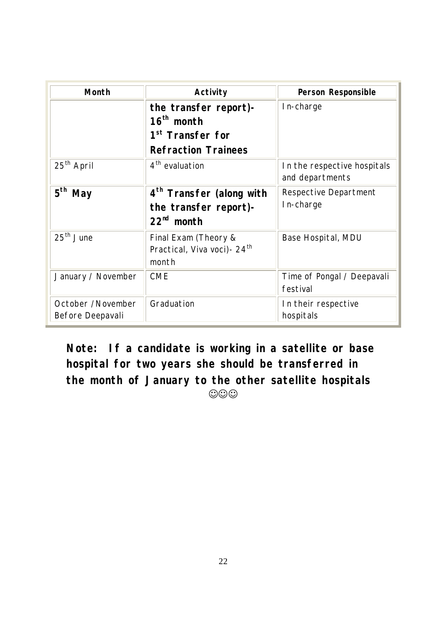| <b>Month</b>                          | <b>Activity</b>                                                                                     | <b>Person Responsible</b>                      |
|---------------------------------------|-----------------------------------------------------------------------------------------------------|------------------------------------------------|
|                                       | the transfer report)-<br>$16th$ month<br>1 <sup>st</sup> Transfer for<br><b>Refraction Trainees</b> | In-charge                                      |
| 25 <sup>th</sup> April                | 4 <sup>th</sup> evaluation                                                                          | In the respective hospitals<br>and departments |
| $5^{\text{th}}$<br><b>May</b>         | 4 <sup>th</sup> Transfer (along with<br>the transfer report)-<br>$22nd$ month                       | Respective Department<br>In-charge             |
| $25th$ June                           | Final Exam (Theory &<br>Practical, Viva voci) - 24 <sup>th</sup><br>month                           | Base Hospital, MDU                             |
| January / November                    | <b>CME</b>                                                                                          | Time of Pongal / Deepavali<br>festival         |
| October /November<br>Before Deepavali | Graduation                                                                                          | In their respective<br>hospitals               |

**Note: If a candidate is working in a satellite or base hospital for two years she should be transferred in the month of January to the other satellite hospitals OOO**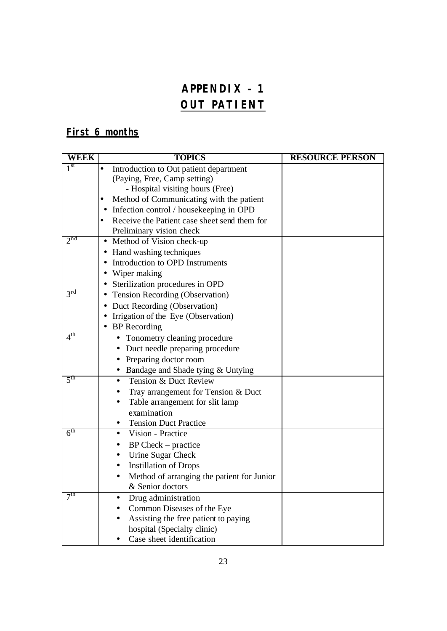# **APPENDIX – 1 OUT PATIENT**

# **First 6 months**

| WEEK            | <b>TOPICS</b>                                       | <b>RESOURCE PERSON</b> |
|-----------------|-----------------------------------------------------|------------------------|
| 1 <sup>st</sup> | Introduction to Out patient department<br>$\bullet$ |                        |
|                 | (Paying, Free, Camp setting)                        |                        |
|                 | - Hospital visiting hours (Free)                    |                        |
|                 | Method of Communicating with the patient            |                        |
|                 | Infection control / housekeeping in OPD             |                        |
|                 | Receive the Patient case sheet send them for        |                        |
|                 | Preliminary vision check                            |                        |
| 2 <sub>nd</sub> | Method of Vision check-up                           |                        |
|                 | • Hand washing techniques                           |                        |
|                 | Introduction to OPD Instruments                     |                        |
|                 | Wiper making<br>$\bullet$                           |                        |
|                 | Sterilization procedures in OPD                     |                        |
| 3 <sup>rd</sup> | Tension Recording (Observation)<br>$\bullet$        |                        |
|                 | Duct Recording (Observation)                        |                        |
|                 | Irrigation of the Eye (Observation)                 |                        |
|                 | <b>BP</b> Recording                                 |                        |
| 4 <sup>th</sup> | Tonometry cleaning procedure                        |                        |
|                 | Duct needle preparing procedure                     |                        |
|                 | Preparing doctor room                               |                        |
|                 | Bandage and Shade tying & Untying                   |                        |
| 5 <sup>th</sup> | Tension & Duct Review<br>$\bullet$                  |                        |
|                 | Tray arrangement for Tension & Duct                 |                        |
|                 | Table arrangement for slit lamp                     |                        |
|                 | examination                                         |                        |
|                 | <b>Tension Duct Practice</b><br>٠                   |                        |
| 6 <sup>th</sup> | Vision - Practice<br>٠                              |                        |
|                 | $BP Check - practice$                               |                        |
|                 | Urine Sugar Check                                   |                        |
|                 | <b>Instillation of Drops</b><br>٠                   |                        |
|                 | Method of arranging the patient for Junior          |                        |
|                 | & Senior doctors                                    |                        |
| 7 <sup>th</sup> | Drug administration                                 |                        |
|                 | Common Diseases of the Eye                          |                        |
|                 | Assisting the free patient to paying                |                        |
|                 | hospital (Specialty clinic)                         |                        |
|                 | Case sheet identification                           |                        |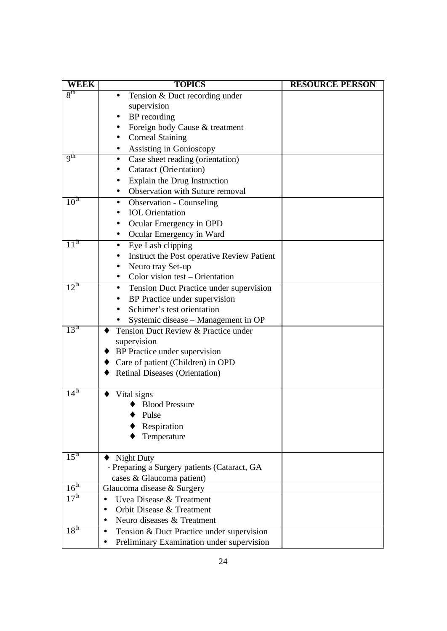| WEEK              | <b>TOPICS</b>                                                      | <b>RESOURCE PERSON</b> |
|-------------------|--------------------------------------------------------------------|------------------------|
| 8 <sup>th</sup>   | Tension & Duct recording under<br>$\bullet$                        |                        |
|                   | supervision                                                        |                        |
|                   | BP recording                                                       |                        |
|                   | Foreign body Cause & treatment                                     |                        |
|                   | <b>Corneal Staining</b>                                            |                        |
|                   | Assisting in Gonioscopy<br>٠                                       |                        |
| q <sup>th</sup>   | Case sheet reading (orientation)<br>٠                              |                        |
|                   | Cataract (Orientation)                                             |                        |
|                   | Explain the Drug Instruction                                       |                        |
|                   | Observation with Suture removal                                    |                        |
| 10 <sup>th</sup>  | Observation - Counseling<br>$\bullet$                              |                        |
|                   | <b>IOL</b> Orientation                                             |                        |
|                   | Ocular Emergency in OPD                                            |                        |
|                   | Ocular Emergency in Ward<br>$\bullet$                              |                        |
| $11^{\mathrm{m}}$ | Eye Lash clipping                                                  |                        |
|                   | Instruct the Post operative Review Patient                         |                        |
|                   | Neuro tray Set-up<br>$\bullet$                                     |                        |
|                   | Color vision test – Orientation<br>٠                               |                        |
| $12^{\text{th}}$  | Tension Duct Practice under supervision<br>$\bullet$               |                        |
|                   | BP Practice under supervision                                      |                        |
|                   | Schimer's test orientation                                         |                        |
|                   | Systemic disease - Management in OP                                |                        |
| 13 <sup>m</sup>   | Tension Duct Review & Practice under                               |                        |
|                   | supervision                                                        |                        |
|                   | BP Practice under supervision                                      |                        |
|                   | Care of patient (Children) in OPD                                  |                        |
|                   | Retinal Diseases (Orientation)                                     |                        |
|                   |                                                                    |                        |
| $14^{\text{th}}$  | Vital signs                                                        |                        |
|                   | <b>Blood Pressure</b>                                              |                        |
|                   | Pulse                                                              |                        |
|                   | Respiration                                                        |                        |
|                   | Temperature                                                        |                        |
|                   |                                                                    |                        |
| $15^{\text{th}}$  | <b>Night Duty</b>                                                  |                        |
|                   | - Preparing a Surgery patients (Cataract, GA                       |                        |
| 16 <sup>th</sup>  | cases & Glaucoma patient)                                          |                        |
| 17 <sup>th</sup>  | Glaucoma disease & Surgery                                         |                        |
|                   | Uvea Disease & Treatment<br>$\bullet$<br>Orbit Disease & Treatment |                        |
|                   | $\bullet$                                                          |                        |
| 18 <sup>th</sup>  | Neuro diseases & Treatment<br>٠                                    |                        |
|                   | Tension & Duct Practice under supervision<br>$\bullet$             |                        |
|                   | Preliminary Examination under supervision                          |                        |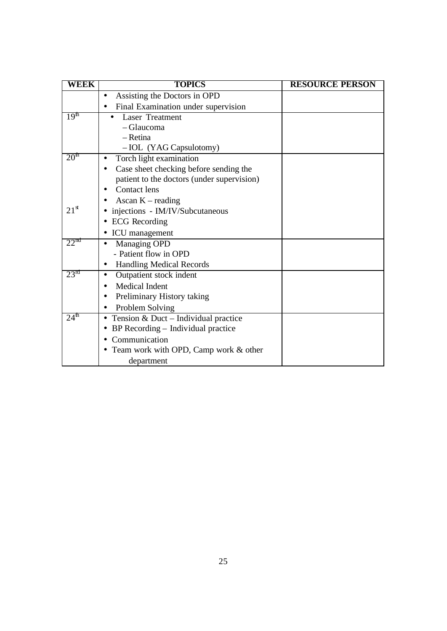| WEEK             | <b>TOPICS</b>                              | <b>RESOURCE PERSON</b> |
|------------------|--------------------------------------------|------------------------|
|                  | Assisting the Doctors in OPD               |                        |
|                  | Final Examination under supervision        |                        |
| 19 <sup>th</sup> | <b>Laser Treatment</b>                     |                        |
|                  | - Glaucoma                                 |                        |
|                  | - Retina                                   |                        |
|                  | - IOL (YAG Capsulotomy)                    |                        |
| 20 <sup>m</sup>  | Torch light examination                    |                        |
|                  | Case sheet checking before sending the     |                        |
|                  | patient to the doctors (under supervision) |                        |
|                  | <b>Contact lens</b>                        |                        |
|                  | Ascan $K$ – reading                        |                        |
| $21^{\rm st}$    | injections - IM/IV/Subcutaneous            |                        |
|                  | <b>ECG</b> Recording                       |                        |
|                  | ICU management                             |                        |
| $22^{na}$        | Managing OPD                               |                        |
|                  | - Patient flow in OPD                      |                        |
|                  | <b>Handling Medical Records</b><br>٠       |                        |
| 23 <sup>rd</sup> | Outpatient stock indent                    |                        |
|                  | <b>Medical Indent</b>                      |                        |
|                  | Preliminary History taking                 |                        |
|                  | Problem Solving                            |                        |
| 24 <sup>th</sup> | Tension & Duct - Individual practice       |                        |
|                  | BP Recording - Individual practice         |                        |
|                  | Communication                              |                        |
|                  | Team work with OPD, Camp work & other      |                        |
|                  | department                                 |                        |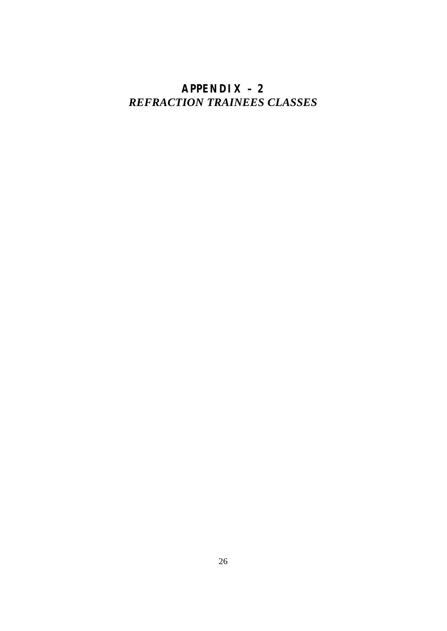# **APPENDIX – 2** *REFRACTION TRAINEES CLASSES*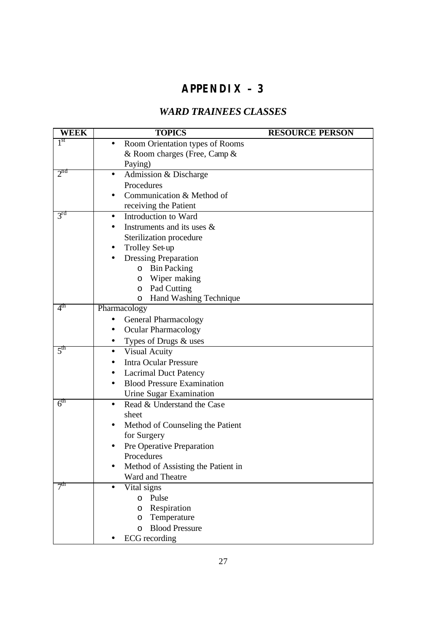# **APPENDIX – 3**

# *WARD TRAINEES CLASSES*

| <b>WEEK</b>     | <b>TOPICS</b>                             | <b>RESOURCE PERSON</b> |
|-----------------|-------------------------------------------|------------------------|
| 1 <sup>st</sup> | Room Orientation types of Rooms           |                        |
|                 | & Room charges (Free, Camp &              |                        |
|                 | Paying)                                   |                        |
| 2 <sup>nd</sup> | Admission & Discharge<br>$\bullet$        |                        |
|                 | Procedures                                |                        |
|                 | Communication & Method of                 |                        |
|                 | receiving the Patient                     |                        |
| 3 <sup>rd</sup> | Introduction to Ward<br>$\bullet$         |                        |
|                 | Instruments and its uses &                |                        |
|                 | Sterilization procedure                   |                        |
|                 | Trolley Set-up                            |                        |
|                 | <b>Dressing Preparation</b>               |                        |
|                 | o Bin Packing                             |                        |
|                 | Wiper making<br>$\circ$                   |                        |
|                 | Pad Cutting<br>$\circ$                    |                        |
|                 | Hand Washing Technique<br>O               |                        |
| 4 <sup>th</sup> | Pharmacology                              |                        |
|                 | <b>General Pharmacology</b>               |                        |
|                 | <b>Ocular Pharmacology</b>                |                        |
|                 | Types of Drugs & uses<br>$\bullet$        |                        |
| 5 <sup>th</sup> | <b>Visual Acuity</b><br>$\bullet$         |                        |
|                 | <b>Intra Ocular Pressure</b>              |                        |
|                 | <b>Lacrimal Duct Patency</b><br>$\bullet$ |                        |
|                 | <b>Blood Pressure Examination</b>         |                        |
|                 | Urine Sugar Examination                   |                        |
| 6 <sup>th</sup> | Read & Understand the Case<br>$\bullet$   |                        |
|                 | sheet                                     |                        |
|                 | Method of Counseling the Patient          |                        |
|                 | for Surgery                               |                        |
|                 | Pre Operative Preparation                 |                        |
|                 | Procedures                                |                        |
|                 | Method of Assisting the Patient in        |                        |
|                 | Ward and Theatre                          |                        |
| 7 <sup>th</sup> | Vital signs                               |                        |
|                 | Pulse<br>$\circ$                          |                        |
|                 | Respiration<br>$\circ$                    |                        |
|                 | Temperature<br>O                          |                        |
|                 | <b>Blood Pressure</b><br>$\circ$          |                        |
|                 | <b>ECG</b> recording                      |                        |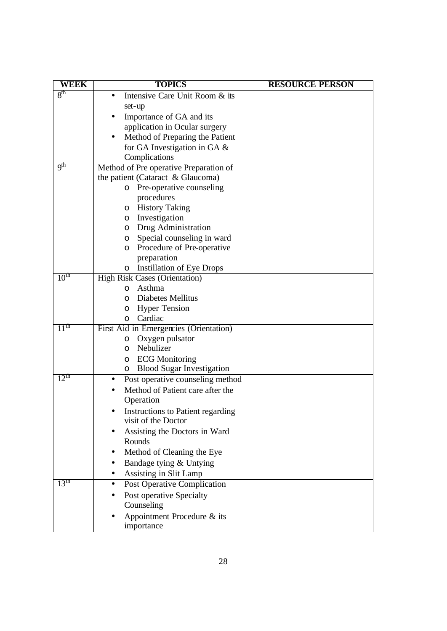| <b>WEEK</b>      | <b>TOPICS</b>                            | <b>RESOURCE PERSON</b> |
|------------------|------------------------------------------|------------------------|
| 8 <sup>th</sup>  | Intensive Care Unit Room & its           |                        |
|                  | set-up                                   |                        |
|                  | Importance of GA and its                 |                        |
|                  | application in Ocular surgery            |                        |
|                  | Method of Preparing the Patient<br>٠     |                        |
|                  | for GA Investigation in GA &             |                        |
|                  | Complications                            |                        |
| q <sup>th</sup>  | Method of Pre operative Preparation of   |                        |
|                  | the patient (Cataract & Glaucoma)        |                        |
|                  | Pre-operative counseling<br>O            |                        |
|                  | procedures                               |                        |
|                  | o History Taking                         |                        |
|                  | o Investigation                          |                        |
|                  | Drug Administration<br>O                 |                        |
|                  | Special counseling in ward<br>O          |                        |
|                  | o Procedure of Pre-operative             |                        |
|                  | preparation                              |                        |
|                  | <b>Instillation of Eye Drops</b><br>O    |                        |
| 10 <sup>m</sup>  | <b>High Risk Cases (Orientation)</b>     |                        |
|                  | Asthma<br>$\circ$                        |                        |
|                  | Diabetes Mellitus<br>$\circ$             |                        |
|                  | <b>Hyper Tension</b><br>O                |                        |
|                  | Cardiac<br>O                             |                        |
| 11 <sup>th</sup> | First Aid in Emergencies (Orientation)   |                        |
|                  | Oxygen pulsator<br>O                     |                        |
|                  | Nebulizer<br>O                           |                        |
|                  | <b>ECG Monitoring</b><br>O               |                        |
|                  | o Blood Sugar Investigation              |                        |
| 12 <sup>th</sup> | Post operative counseling method         |                        |
|                  | Method of Patient care after the         |                        |
|                  | Operation                                |                        |
|                  | <b>Instructions to Patient regarding</b> |                        |
|                  | visit of the Doctor                      |                        |
|                  | Assisting the Doctors in Ward            |                        |
|                  | Rounds                                   |                        |
|                  | Method of Cleaning the Eye               |                        |
|                  | Bandage tying & Untying                  |                        |
|                  | Assisting in Slit Lamp                   |                        |
| 13 <sup>th</sup> | Post Operative Complication              |                        |
|                  | Post operative Specialty                 |                        |
|                  | Counseling                               |                        |
|                  | Appointment Procedure & its              |                        |
|                  | importance                               |                        |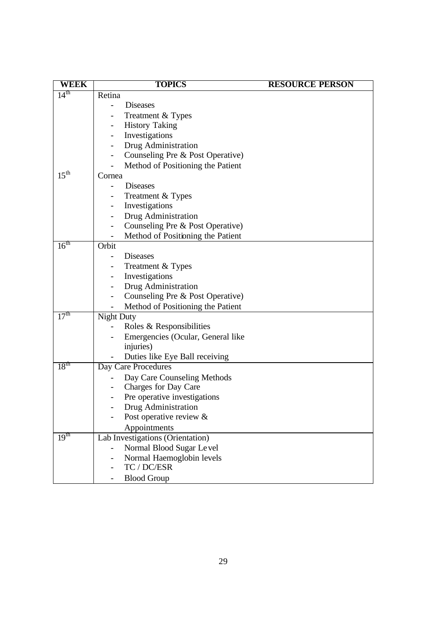| <b>WEEK</b>      | <b>TOPICS</b>                     | <b>RESOURCE PERSON</b> |
|------------------|-----------------------------------|------------------------|
| $14^{\text{th}}$ | Retina                            |                        |
|                  | <b>Diseases</b>                   |                        |
|                  | Treatment & Types                 |                        |
|                  | <b>History Taking</b>             |                        |
|                  | Investigations                    |                        |
|                  | Drug Administration               |                        |
|                  | Counseling Pre & Post Operative)  |                        |
|                  | Method of Positioning the Patient |                        |
| 15 <sup>th</sup> | Cornea                            |                        |
|                  | <b>Diseases</b>                   |                        |
|                  | Treatment & Types                 |                        |
|                  | Investigations                    |                        |
|                  | Drug Administration               |                        |
|                  | Counseling Pre & Post Operative)  |                        |
|                  | Method of Positioning the Patient |                        |
| $16^{\text{th}}$ | Orbit                             |                        |
|                  | Diseases                          |                        |
|                  | Treatment & Types                 |                        |
|                  | Investigations                    |                        |
|                  | Drug Administration               |                        |
|                  | Counseling Pre & Post Operative)  |                        |
|                  | Method of Positioning the Patient |                        |
| 17 <sup>th</sup> | <b>Night Duty</b>                 |                        |
|                  | Roles & Responsibilities          |                        |
|                  | Emergencies (Ocular, General like |                        |
|                  | injuries)                         |                        |
|                  | Duties like Eye Ball receiving    |                        |
| 18 <sup>th</sup> | Day Care Procedures               |                        |
|                  | Day Care Counseling Methods       |                        |
|                  | Charges for Day Care              |                        |
|                  | Pre operative investigations      |                        |
|                  | Drug Administration               |                        |
|                  | Post operative review $\&$        |                        |
|                  | Appointments                      |                        |
| 19 <sup>th</sup> | Lab Investigations (Orientation)  |                        |
|                  | Normal Blood Sugar Level          |                        |
|                  | Normal Haemoglobin levels         |                        |
|                  | TC / DC/ESR                       |                        |
|                  | <b>Blood Group</b>                |                        |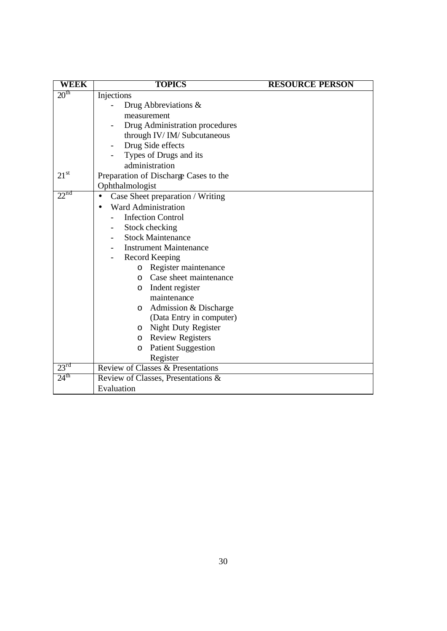| <b>WEEK</b>      | <b>TOPICS</b>                         | <b>RESOURCE PERSON</b> |
|------------------|---------------------------------------|------------------------|
| 20 <sup>th</sup> | Injections                            |                        |
|                  | Drug Abbreviations &                  |                        |
|                  | measurement                           |                        |
|                  | Drug Administration procedures        |                        |
|                  | through IV/IM/Subcutaneous            |                        |
|                  | Drug Side effects                     |                        |
|                  | Types of Drugs and its                |                        |
|                  | administration                        |                        |
| $21^{\rm st}$    | Preparation of Discharge Cases to the |                        |
|                  | Ophthalmologist                       |                        |
| $22^{nd}$        | Case Sheet preparation / Writing      |                        |
|                  | <b>Ward Administration</b>            |                        |
|                  | <b>Infection Control</b>              |                        |
|                  | Stock checking<br>Ξ.                  |                        |
|                  | <b>Stock Maintenance</b>              |                        |
|                  | <b>Instrument Maintenance</b>         |                        |
|                  | Record Keeping                        |                        |
|                  | o Register maintenance                |                        |
|                  | Case sheet maintenance<br>$\circ$     |                        |
|                  | Indent register<br>$\circ$            |                        |
|                  | maintenance                           |                        |
|                  | Admission & Discharge<br>$\circ$      |                        |
|                  | (Data Entry in computer)              |                        |
|                  | o Night Duty Register                 |                        |
|                  | <b>Review Registers</b><br>$\circ$    |                        |
|                  | <b>Patient Suggestion</b><br>$\circ$  |                        |
|                  | Register                              |                        |
| $23^{\text{rd}}$ | Review of Classes & Presentations     |                        |
| 24 <sup>th</sup> | Review of Classes, Presentations &    |                        |
|                  | Evaluation                            |                        |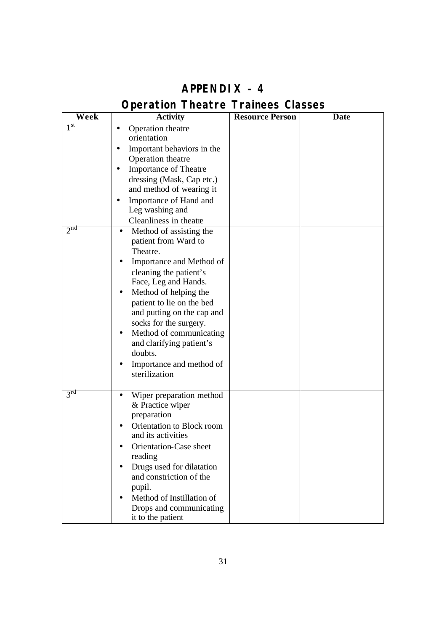| Week            | <b>Activity</b>                                                                                                                                                                                                                                                                                                                                                                     | <b>Resource Person</b> | <b>Date</b> |
|-----------------|-------------------------------------------------------------------------------------------------------------------------------------------------------------------------------------------------------------------------------------------------------------------------------------------------------------------------------------------------------------------------------------|------------------------|-------------|
| 1 <sup>st</sup> | Operation theatre<br>$\bullet$<br>orientation<br>Important behaviors in the<br>Operation theatre<br><b>Importance of Theatre</b><br>dressing (Mask, Cap etc.)<br>and method of wearing it<br>Importance of Hand and<br>Leg washing and<br>Cleanliness in theatre                                                                                                                    |                        |             |
| 2 <sup>nd</sup> | Method of assisting the<br>$\bullet$<br>patient from Ward to<br>Theatre.<br>Importance and Method of<br>cleaning the patient's<br>Face, Leg and Hands.<br>Method of helping the<br>patient to lie on the bed<br>and putting on the cap and<br>socks for the surgery.<br>Method of communicating<br>and clarifying patient's<br>doubts.<br>Importance and method of<br>sterilization |                        |             |
| 3 <sup>rd</sup> | Wiper preparation method<br>& Practice wiper<br>preparation<br>Orientation to Block room<br>and its activities<br>Orientation-Case sheet<br>reading<br>Drugs used for dilatation<br>and constriction of the<br>pupil.<br>Method of Instillation of<br>Drops and communicating<br>it to the patient                                                                                  |                        |             |

# **APPENDIX – 4**

# *Operation Theatre Trainees Classes*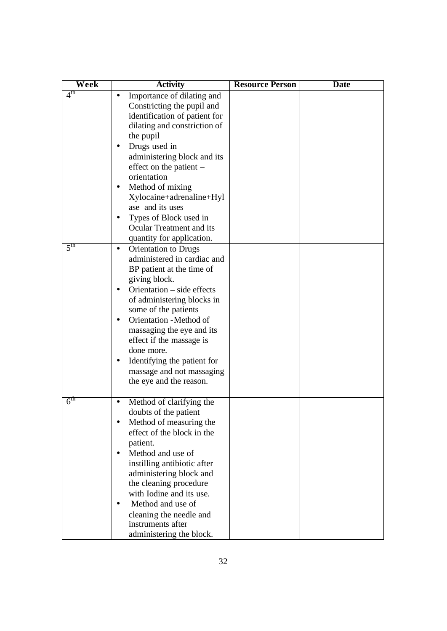| Week            | <b>Activity</b>                                                                                                                                                                                                                                                                                                                                                                                    | <b>Resource Person</b> | <b>Date</b> |
|-----------------|----------------------------------------------------------------------------------------------------------------------------------------------------------------------------------------------------------------------------------------------------------------------------------------------------------------------------------------------------------------------------------------------------|------------------------|-------------|
| 4 <sup>th</sup> | Importance of dilating and<br>Constricting the pupil and<br>identification of patient for<br>dilating and constriction of<br>the pupil<br>Drugs used in<br>administering block and its<br>effect on the patient $-$<br>orientation<br>Method of mixing<br>Xylocaine+adrenaline+Hyl<br>ase and its uses<br>Types of Block used in<br>Ocular Treatment and its<br>quantity for application.          |                        |             |
| 5 <sup>th</sup> | <b>Orientation to Drugs</b><br>$\bullet$<br>administered in cardiac and<br>BP patient at the time of<br>giving block.<br>Orientation – side effects<br>of administering blocks in<br>some of the patients<br>Orientation - Method of<br>massaging the eye and its<br>effect if the massage is<br>done more.<br>Identifying the patient for<br>massage and not massaging<br>the eye and the reason. |                        |             |
| 6 <sup>tn</sup> | Method of clarifying the<br>doubts of the patient<br>Method of measuring the<br>effect of the block in the<br>patient.<br>Method and use of<br>$\bullet$<br>instilling antibiotic after<br>administering block and<br>the cleaning procedure<br>with Iodine and its use.<br>Method and use of<br>$\bullet$<br>cleaning the needle and<br>instruments after<br>administering the block.             |                        |             |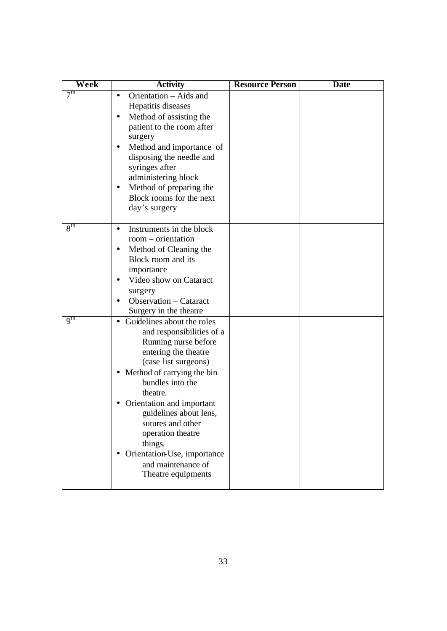| Week            | <b>Activity</b>                                               | <b>Resource Person</b> | <b>Date</b> |
|-----------------|---------------------------------------------------------------|------------------------|-------------|
| 7 <sup>th</sup> | Orientation - Aids and                                        |                        |             |
|                 | Hepatitis diseases                                            |                        |             |
|                 | Method of assisting the<br>$\bullet$                          |                        |             |
|                 | patient to the room after                                     |                        |             |
|                 | surgery                                                       |                        |             |
|                 | Method and importance of<br>$\bullet$                         |                        |             |
|                 | disposing the needle and                                      |                        |             |
|                 | syringes after                                                |                        |             |
|                 | administering block                                           |                        |             |
|                 | Method of preparing the                                       |                        |             |
|                 | Block rooms for the next                                      |                        |             |
|                 | day's surgery                                                 |                        |             |
| 8 <sup>th</sup> |                                                               |                        |             |
|                 | Instruments in the block<br>$\bullet$<br>$room$ – orientation |                        |             |
|                 | Method of Cleaning the                                        |                        |             |
|                 | Block room and its                                            |                        |             |
|                 | importance                                                    |                        |             |
|                 | Video show on Cataract                                        |                        |             |
|                 | surgery                                                       |                        |             |
|                 | Observation – Cataract                                        |                        |             |
|                 | Surgery in the theatre                                        |                        |             |
| 9 <sup>th</sup> | Guidelines about the roles                                    |                        |             |
|                 | and responsibilities of a                                     |                        |             |
|                 | Running nurse before                                          |                        |             |
|                 | entering the theatre                                          |                        |             |
|                 | (case list surgeons)                                          |                        |             |
|                 | Method of carrying the bin<br>$\bullet$                       |                        |             |
|                 | bundles into the                                              |                        |             |
|                 | theatre.                                                      |                        |             |
|                 | Orientation and important                                     |                        |             |
|                 | guidelines about lens,                                        |                        |             |
|                 | sutures and other<br>operation theatre                        |                        |             |
|                 | things.                                                       |                        |             |
|                 | Orientation Use, importance                                   |                        |             |
|                 | and maintenance of                                            |                        |             |
|                 | Theatre equipments                                            |                        |             |
|                 |                                                               |                        |             |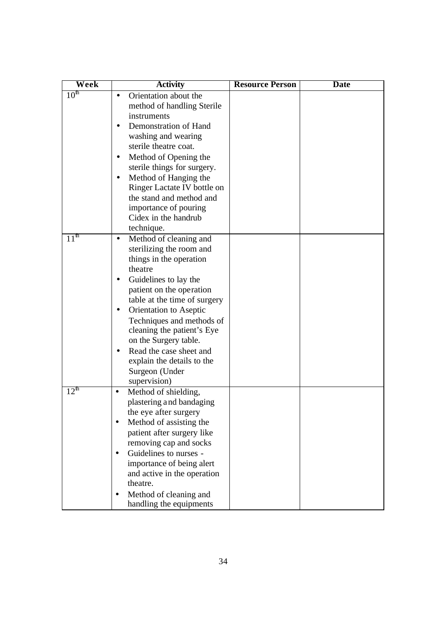| Week                | <b>Activity</b>                                                                                                                                                                                                                                                                                                                                                                                     | <b>Resource Person</b> | <b>Date</b> |
|---------------------|-----------------------------------------------------------------------------------------------------------------------------------------------------------------------------------------------------------------------------------------------------------------------------------------------------------------------------------------------------------------------------------------------------|------------------------|-------------|
| $10^{\text{th}}$    | Orientation about the<br>method of handling Sterile<br>instruments<br>Demonstration of Hand<br>washing and wearing<br>sterile theatre coat.<br>Method of Opening the<br>sterile things for surgery.<br>Method of Hanging the<br>Ringer Lactate IV bottle on<br>the stand and method and<br>importance of pouring<br>Cidex in the handrub<br>technique.                                              |                        |             |
| $11^{\overline{m}}$ | Method of cleaning and<br>$\bullet$<br>sterilizing the room and<br>things in the operation<br>theatre<br>Guidelines to lay the<br>patient on the operation<br>table at the time of surgery<br>Orientation to Aseptic<br>Techniques and methods of<br>cleaning the patient's Eye<br>on the Surgery table.<br>Read the case sheet and<br>explain the details to the<br>Surgeon (Under<br>supervision) |                        |             |
| $12^{\text{th}}$    | Method of shielding,<br>$\bullet$<br>plastering and bandaging<br>the eye after surgery<br>Method of assisting the<br>patient after surgery like<br>removing cap and socks<br>Guidelines to nurses -<br>$\bullet$<br>importance of being alert<br>and active in the operation<br>theatre.<br>Method of cleaning and<br>handling the equipments                                                       |                        |             |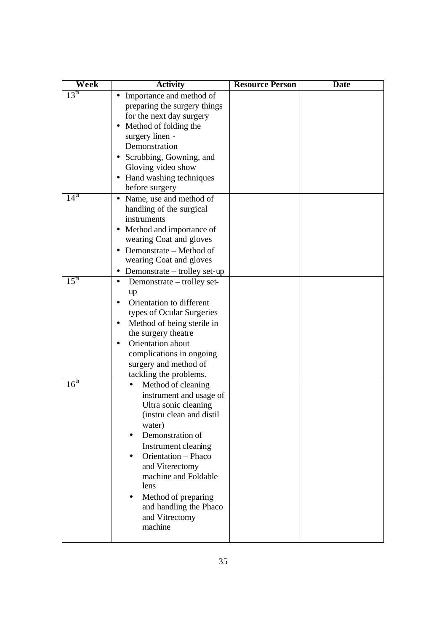| Week                | <b>Activity</b>                      | <b>Resource Person</b> | <b>Date</b> |
|---------------------|--------------------------------------|------------------------|-------------|
| 13 <sup>th</sup>    | • Importance and method of           |                        |             |
|                     | preparing the surgery things         |                        |             |
|                     | for the next day surgery             |                        |             |
|                     | • Method of folding the              |                        |             |
|                     | surgery linen -                      |                        |             |
|                     | Demonstration                        |                        |             |
|                     | Scrubbing, Gowning, and              |                        |             |
|                     | Gloving video show                   |                        |             |
|                     | Hand washing techniques<br>$\bullet$ |                        |             |
|                     | before surgery                       |                        |             |
| $14^{\overline{m}}$ | • Name, use and method of            |                        |             |
|                     | handling of the surgical             |                        |             |
|                     | instruments                          |                        |             |
|                     | • Method and importance of           |                        |             |
|                     | wearing Coat and gloves              |                        |             |
|                     | Demonstrate – Method of              |                        |             |
|                     | wearing Coat and gloves              |                        |             |
|                     | Demonstrate – trolley set-up         |                        |             |
| $15^{\text{th}}$    | Demonstrate – trolley set-           |                        |             |
|                     | up                                   |                        |             |
|                     | Orientation to different             |                        |             |
|                     | types of Ocular Surgeries            |                        |             |
|                     | Method of being sterile in           |                        |             |
|                     | the surgery theatre                  |                        |             |
|                     | Orientation about                    |                        |             |
|                     | complications in ongoing             |                        |             |
|                     | surgery and method of                |                        |             |
|                     | tackling the problems.               |                        |             |
| 16 <sup>m</sup>     | Method of cleaning                   |                        |             |
|                     | instrument and usage of              |                        |             |
|                     | Ultra sonic cleaning                 |                        |             |
|                     | (instru clean and distil             |                        |             |
|                     | water)                               |                        |             |
|                     | Demonstration of                     |                        |             |
|                     | Instrument cleaning                  |                        |             |
|                     | Orientation - Phaco                  |                        |             |
|                     | and Viterectomy                      |                        |             |
|                     | machine and Foldable                 |                        |             |
|                     | lens                                 |                        |             |
|                     | Method of preparing                  |                        |             |
|                     | and handling the Phaco               |                        |             |
|                     | and Vitrectomy<br>machine            |                        |             |
|                     |                                      |                        |             |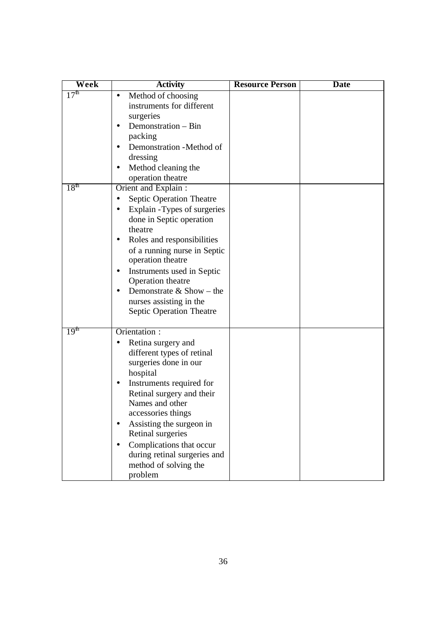| Week                                 | <b>Activity</b>                                                                                                                                                                                                                                                                                                                                                        | <b>Resource Person</b> | <b>Date</b> |
|--------------------------------------|------------------------------------------------------------------------------------------------------------------------------------------------------------------------------------------------------------------------------------------------------------------------------------------------------------------------------------------------------------------------|------------------------|-------------|
| 17 <sup>th</sup><br>18 <sup>th</sup> | Method of choosing<br>$\bullet$<br>instruments for different<br>surgeries<br>Demonstration - Bin<br>$\bullet$<br>packing<br>Demonstration -Method of<br>dressing<br>Method cleaning the<br>operation theatre<br>Orient and Explain :                                                                                                                                   |                        |             |
|                                      | Septic Operation Theatre<br>Explain - Types of surgeries<br>done in Septic operation<br>theatre<br>Roles and responsibilities<br>of a running nurse in Septic<br>operation theatre<br>Instruments used in Septic<br>Operation theatre<br>Demonstrate $&$ Show – the<br>nurses assisting in the<br><b>Septic Operation Theatre</b>                                      |                        |             |
| 19 <sup>m</sup>                      | Orientation :<br>Retina surgery and<br>$\bullet$<br>different types of retinal<br>surgeries done in our<br>hospital<br>Instruments required for<br>Retinal surgery and their<br>Names and other<br>accessories things<br>Assisting the surgeon in<br>Retinal surgeries<br>Complications that occur<br>during retinal surgeries and<br>method of solving the<br>problem |                        |             |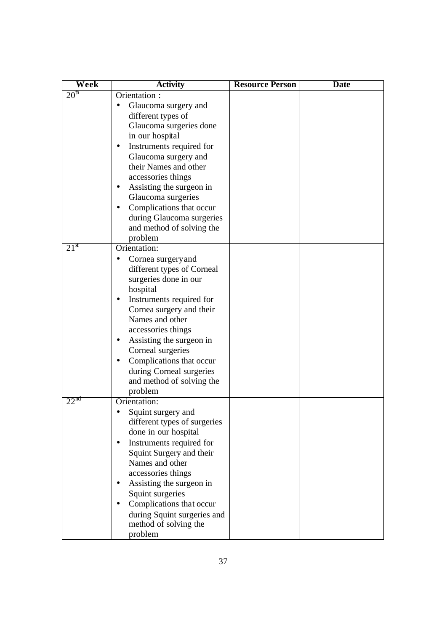| Week             | <b>Activity</b>                               | <b>Resource Person</b> | <b>Date</b> |
|------------------|-----------------------------------------------|------------------------|-------------|
| 20 <sup>th</sup> | Orientation :                                 |                        |             |
|                  | Glaucoma surgery and                          |                        |             |
|                  | different types of                            |                        |             |
|                  | Glaucoma surgeries done                       |                        |             |
|                  | in our hospital                               |                        |             |
|                  | Instruments required for                      |                        |             |
|                  | Glaucoma surgery and                          |                        |             |
|                  | their Names and other                         |                        |             |
|                  | accessories things                            |                        |             |
|                  | Assisting the surgeon in                      |                        |             |
|                  | Glaucoma surgeries                            |                        |             |
|                  | Complications that occur                      |                        |             |
|                  | during Glaucoma surgeries                     |                        |             |
|                  | and method of solving the                     |                        |             |
|                  | problem                                       |                        |             |
| $21^{\rm st}$    | Orientation:                                  |                        |             |
|                  | Cornea surgery and                            |                        |             |
|                  | different types of Corneal                    |                        |             |
|                  | surgeries done in our                         |                        |             |
|                  | hospital                                      |                        |             |
|                  | Instruments required for                      |                        |             |
|                  | Cornea surgery and their                      |                        |             |
|                  | Names and other                               |                        |             |
|                  | accessories things                            |                        |             |
|                  | Assisting the surgeon in                      |                        |             |
|                  | Corneal surgeries<br>Complications that occur |                        |             |
|                  | during Corneal surgeries                      |                        |             |
|                  | and method of solving the                     |                        |             |
|                  | problem                                       |                        |             |
| $22^{\text{nd}}$ | Orientation:                                  |                        |             |
|                  | Squint surgery and                            |                        |             |
|                  | different types of surgeries                  |                        |             |
|                  | done in our hospital                          |                        |             |
|                  | Instruments required for                      |                        |             |
|                  | Squint Surgery and their                      |                        |             |
|                  | Names and other                               |                        |             |
|                  | accessories things                            |                        |             |
|                  | Assisting the surgeon in                      |                        |             |
|                  | Squint surgeries                              |                        |             |
|                  | Complications that occur                      |                        |             |
|                  | during Squint surgeries and                   |                        |             |
|                  | method of solving the                         |                        |             |
|                  | problem                                       |                        |             |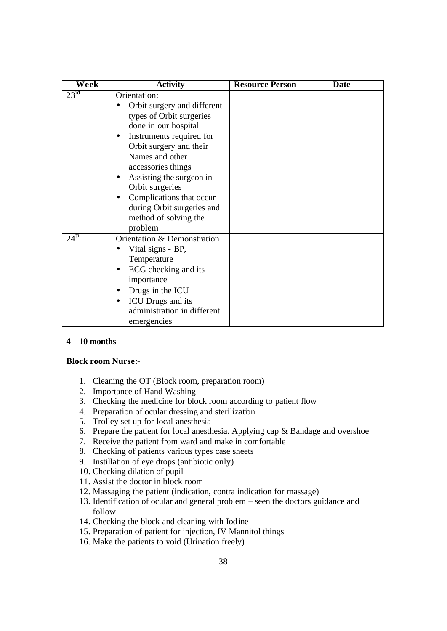| Week             | <b>Activity</b>                                                                                                                                                                                                                                                                                                                              | <b>Resource Person</b> | <b>Date</b> |
|------------------|----------------------------------------------------------------------------------------------------------------------------------------------------------------------------------------------------------------------------------------------------------------------------------------------------------------------------------------------|------------------------|-------------|
| $23^{\text{rd}}$ | Orientation:<br>Orbit surgery and different<br>types of Orbit surgeries<br>done in our hospital<br>Instruments required for<br>Orbit surgery and their<br>Names and other<br>accessories things<br>Assisting the surgeon in<br>Orbit surgeries<br>Complications that occur<br>during Orbit surgeries and<br>method of solving the<br>problem |                        |             |
| $24^{\text{th}}$ | Orientation & Demonstration<br>Vital signs - BP,<br>Temperature<br>ECG checking and its<br>importance<br>Drugs in the ICU<br>ICU Drugs and its<br>$\bullet$<br>administration in different<br>emergencies                                                                                                                                    |                        |             |

#### **4 – 10 months**

#### **Block room Nurse:-**

- 1. Cleaning the OT (Block room, preparation room)
- 2. Importance of Hand Washing
- 3. Checking the medicine for block room according to patient flow
- 4. Preparation of ocular dressing and sterilization
- 5. Trolley set-up for local anesthesia
- 6. Prepare the patient for local anesthesia. Applying cap & Bandage and overshoe
- 7. Receive the patient from ward and make in comfortable
- 8. Checking of patients various types case sheets
- 9. Instillation of eye drops (antibiotic only)
- 10. Checking dilation of pupil
- 11. Assist the doctor in block room
- 12. Massaging the patient (indication, contra indication for massage)
- 13. Identification of ocular and general problem seen the doctors guidance and follow
- 14. Checking the block and cleaning with Iodine
- 15. Preparation of patient for injection, IV Mannitol things
- 16. Make the patients to void (Urination freely)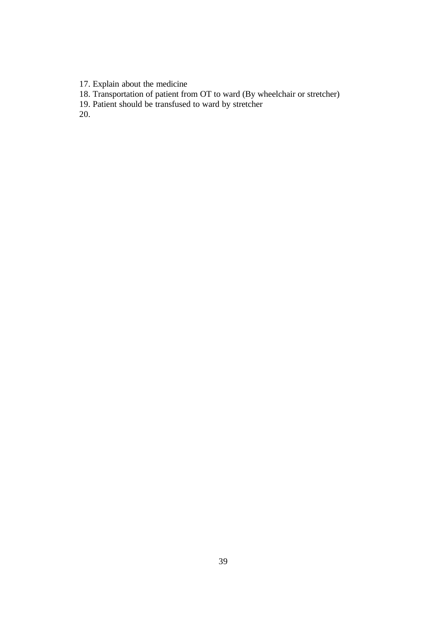17. Explain about the medicine

18. Transportation of patient from OT to ward (By wheelchair or stretcher)

19. Patient should be transfused to ward by stretcher

20.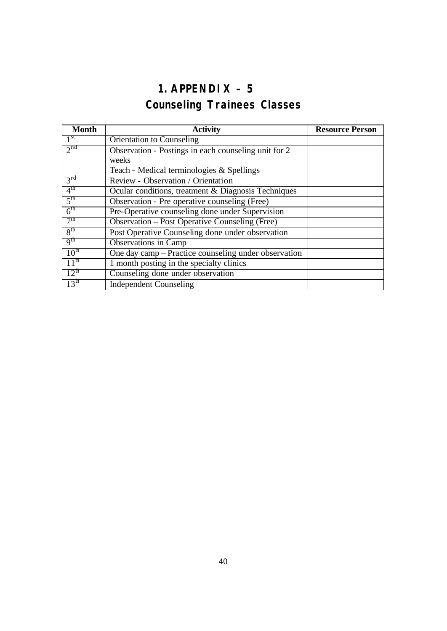# **1. APPENDIX – 5** *Counseling Trainees Classes*

| <b>Month</b>     | <b>Activity</b>                                       | <b>Resource Person</b> |
|------------------|-------------------------------------------------------|------------------------|
| 1 <sup>st</sup>  | <b>Orientation to Counseling</b>                      |                        |
| 2 <sup>nd</sup>  | Observation - Postings in each counseling unit for 2  |                        |
|                  | weeks                                                 |                        |
|                  | Teach - Medical terminologies & Spellings             |                        |
| 3 <sup>rd</sup>  | Review - Observation / Orientation                    |                        |
| $4^{\text{th}}$  | Ocular conditions, treatment & Diagnosis Techniques   |                        |
| 5 <sup>th</sup>  | Observation - Pre operative counseling (Free)         |                        |
| 6 <sup>th</sup>  | Pre-Operative counseling done under Supervision       |                        |
| 7 <sup>th</sup>  | <b>Observation – Post Operative Counseling (Free)</b> |                        |
| 8 <sup>th</sup>  | Post Operative Counseling done under observation      |                        |
| 9 <sup>th</sup>  | <b>Observations in Camp</b>                           |                        |
| 10 <sup>th</sup> | One day camp – Practice counseling under observation  |                        |
| 11 <sup>th</sup> | 1 month posting in the specialty clinics              |                        |
| $12^{th}$        | Counseling done under observation                     |                        |
| 13 <sup>th</sup> | <b>Independent Counseling</b>                         |                        |